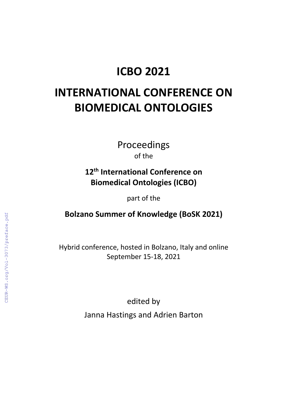# **ICBO 2021**

# **INTERNATIONAL CONFERENCE ON BIOMEDICAL ONTOLOGIES**

Proceedings of the

## **12th International Conference on Biomedical Ontologies (ICBO)**

part of the

## **Bolzano Summer of Knowledge (BoSK 2021)**

Hybrid conference, hosted in Bolzano, Italy and online September 15-18, 2021

> edited by Janna Hastings and Adrien Barton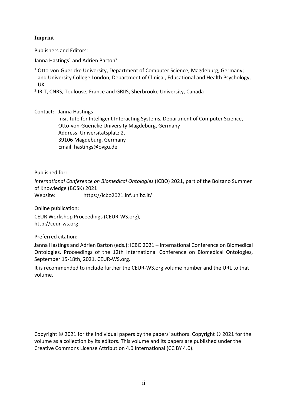#### **Imprint**

Publishers and Editors:

Janna Hastings<sup>1</sup> and Adrien Barton<sup>2</sup>

- <sup>1</sup> Otto-von-Guericke University, Department of Computer Science, Magdeburg, Germany; and University College London, Department of Clinical, Educational and Health Psychology, UK
- <sup>2</sup> IRIT, CNRS, Toulouse, France and GRIIS, Sherbrooke University, Canada

Contact: Janna Hastings

Insititute for Intelligent Interacting Systems, Department of Computer Science, Otto-von-Guericke University Magdeburg, Germany Address: Universitätsplatz 2, 39106 Magdeburg, Germany Email: hastings@ovgu.de

Published for:

*International Conference on Biomedical Ontologies* (ICBO) 2021, part of the Bolzano Summer of Knowledge (BOSK) 2021 Website: https://icbo2021.inf.unibz.it/

Online publication:

CEUR Workshop Proceedings (CEUR-WS.org), http://ceur-ws.org

Preferred citation:

Janna Hastings and Adrien Barton (eds.): ICBO 2021 – International Conference on Biomedical Ontologies. Proceedings of the 12th International Conference on Biomedical Ontologies, September 15-18th, 2021. CEUR-WS.org.

It is recommended to include further the CEUR-WS.org volume number and the URL to that volume.

Copyright © 2021 for the individual papers by the papers' authors. Copyright © 2021 for the volume as a collection by its editors. This volume and its papers are published under the Creative Commons License Attribution 4.0 International (CC BY 4.0).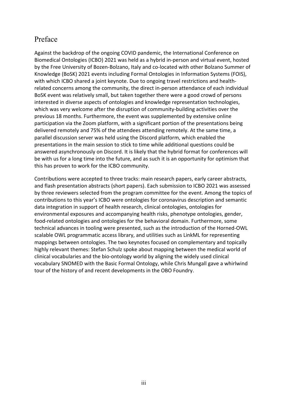## Preface

Against the backdrop of the ongoing COVID pandemic, the International Conference on Biomedical Ontologies (ICBO) 2021 was held as a hybrid in-person and virtual event, hosted by the Free University of Bozen-Bolzano, Italy and co-located with other Bolzano Summer of Knowledge (BoSK) 2021 events including Formal Ontologies in Information Systems (FOIS), with which ICBO shared a joint keynote. Due to ongoing travel restrictions and healthrelated concerns among the community, the direct in-person attendance of each individual BoSK event was relatively small, but taken together there were a good crowd of persons interested in diverse aspects of ontologies and knowledge representation technologies, which was very welcome after the disruption of community-building activities over the previous 18 months. Furthermore, the event was supplemented by extensive online participation via the Zoom platform, with a significant portion of the presentations being delivered remotely and 75% of the attendees attending remotely. At the same time, a parallel discussion server was held using the Discord platform, which enabled the presentations in the main session to stick to time while additional questions could be answered asynchronously on Discord. It is likely that the hybrid format for conferences will be with us for a long time into the future, and as such it is an opportunity for optimism that this has proven to work for the ICBO community.

Contributions were accepted to three tracks: main research papers, early career abstracts, and flash presentation abstracts (short papers). Each submission to ICBO 2021 was assessed by three reviewers selected from the program committee for the event. Among the topics of contributions to this year's ICBO were ontologies for coronavirus description and semantic data integration in support of health research, clinical ontologies, ontologies for environmental exposures and accompanying health risks, phenotype ontologies, gender, food-related ontologies and ontologies for the behavioral domain. Furthermore, some technical advances in tooling were presented, such as the introduction of the Horned-OWL scalable OWL programmatic access library, and utilities such as LinkML for representing mappings between ontologies. The two keynotes focused on complementary and topically highly relevant themes: Stefan Schulz spoke about mapping between the medical world of clinical vocabularies and the bio-ontology world by aligning the widely used clinical vocabulary SNOMED with the Basic Formal Ontology, while Chris Mungall gave a whirlwind tour of the history of and recent developments in the OBO Foundry.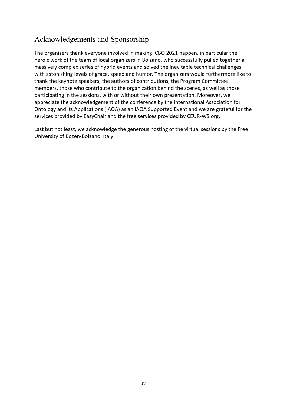## Acknowledgements and Sponsorship

The organizers thank everyone involved in making ICBO 2021 happen, in particular the heroic work of the team of local organizers in Bolzano, who successfully pulled together a massively complex series of hybrid events and solved the inevitable technical challenges with astonishing levels of grace, speed and humor. The organizers would furthermore like to thank the keynote speakers, the authors of contributions, the Program Committee members, those who contribute to the organization behind the scenes, as well as those participating in the sessions, with or without their own presentation. Moreover, we appreciate the acknowledgement of the conference by the International Association for Ontology and its Applications (IAOA) as an IAOA Supported Event and we are grateful for the services provided by EasyChair and the free services provided by CEUR-WS.org.

Last but not least, we acknowledge the generous hosting of the virtual sessions by the Free University of Bozen-Bolzano, Italy.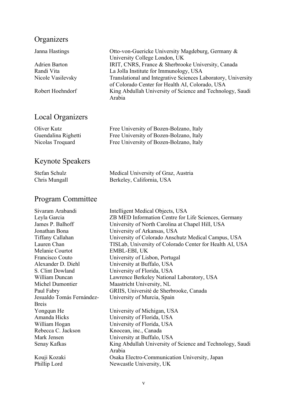#### **Organizers**

Janna Hastings Otto-von-Guericke University Magdeburg, Germany & University College London, UK Adrien Barton IRIT, CNRS, France & Sherbrooke University, Canada Randi Vita<br>
La Jolla Institute for Immunology, USA<br>
Nicole Vasilevsky<br>
Translational and Integrative Sciences La Translational and Integrative Sciences Laboratory, University of Colorado Center for Health AI, Colorado, USA Robert Hoehndorf King Abdullah University of Science and Technology, Saudi Arabia

## Local Organizers

| Oliver Kutz         | Free University of Bozen-Bolzano, Italy |
|---------------------|-----------------------------------------|
| Guendalina Righetti | Free University of Bozen-Bolzano, Italy |
| Nicolas Troquard    | Free University of Bozen-Bolzano, Italy |

## Keynote Speakers

| Stefan Schulz | Medical University of Graz, Austria |
|---------------|-------------------------------------|
| Chris Mungall | Berkeley, California, USA           |

## Program Committee

| Intelligent Medical Objects, USA                          |
|-----------------------------------------------------------|
| ZB MED Information Centre for Life Sciences, Germany      |
| University of North Carolina at Chapel Hill, USA          |
| University of Arkansas, USA                               |
| University of Colorado Anschutz Medical Campus, USA       |
| TISLab, University of Colorado Center for Health AI, USA  |
| EMBL-EBI, UK                                              |
| University of Lisbon, Portugal                            |
| University at Buffalo, USA                                |
| University of Florida, USA                                |
| Lawrence Berkeley National Laboratory, USA                |
| Maastricht University, NL                                 |
| GRIIS, Université de Sherbrooke, Canada                   |
| University of Murcia, Spain                               |
|                                                           |
| University of Michigan, USA                               |
| University of Florida, USA                                |
| University of Florida, USA                                |
| Knocean, inc., Canada                                     |
| University at Buffalo, USA                                |
| King Abdullah University of Science and Technology, Saudi |
| Arabia                                                    |
| Osaka Electro-Communication University, Japan             |
| Newcastle University, UK                                  |
|                                                           |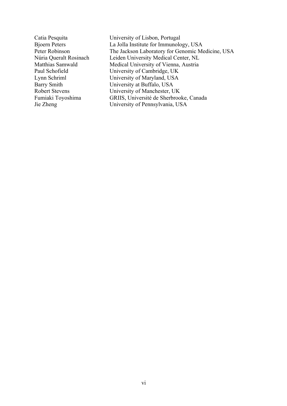Catia Pesquita University of Lisbon, Portugal Bjoern Peters La Jolla Institute for Immunology, USA<br>
Peter Robinson The Jackson Laboratory for Genomic Me Peter Robinson<br>
The Jackson Laboratory for Genomic Medicine, USA<br>
Núria Oueralt Rosinach<br>
Leiden University Medical Center, NL Leiden University Medical Center, NL Matthias Samwald Medical University of Vienna, Austria Paul Schofield University of Cambridge, UK Lynn Schriml University of Maryland, USA Barry Smith University at Buffalo, USA Robert Stevens University of Manchester, UK<br>Fumiaki Toyoshima GRIIS, Université de Sherbroo Fumiaki Toyoshima<br>
GRIIS, Université de Sherbrooke, Canada<br>
University of Pennsylvania, USA University of Pennsylvania, USA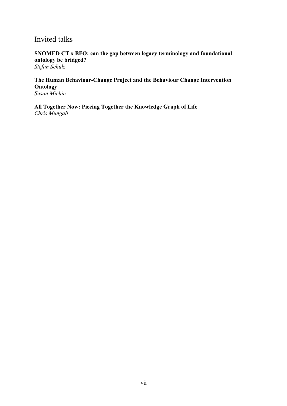#### Invited talks

**SNOMED CT x BFO: can the gap between legacy terminology and foundational ontology be bridged?**

*Stefan Schulz* 

**The Human Behaviour-Change Project and the Behaviour Change Intervention Ontology**

*Susan Michie* 

**All Together Now: Piecing Together the Knowledge Graph of Life** *Chris Mungall*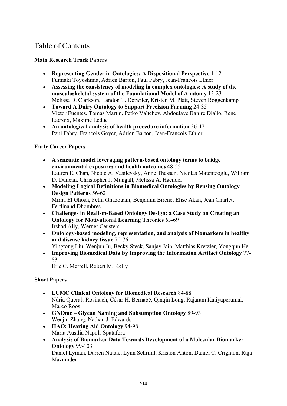## Table of Contents

#### **Main Research Track Papers**

- **Representing Gender in Ontologies: A Dispositional Perspective** 1-12 Fumiaki Toyoshima, Adrien Barton, Paul Fabry, Jean-François Ethier
- **Assessing the consistency of modeling in complex ontologies: A study of the musculoskeletal system of the Foundational Model of Anatomy** 13-23 Melissa D. Clarkson, Landon T. Detwiler, Kristen M. Platt, Steven Roggenkamp
- **Toward A Dairy Ontology to Support Precision Farming** 24-35 Victor Fuentes, Tomas Martin, Petko Valtchev, Abdoulaye Baniré Diallo, René Lacroix, Maxime Leduc
- **An ontological analysis of health procedure information** 36-47 Paul Fabry, Francois Goyer, Adrien Barton, Jean-Francois Ethier

#### **Early Career Papers**

- **A semantic model leveraging pattern-based ontology terms to bridge environmental exposures and health outcomes** 48-55 Lauren E. Chan, Nicole A. Vasilevsky, Anne Thessen, Nicolas Matentzoglu, William D. Duncan, Christopher J. Mungall, Melissa A. Haendel
- **Modeling Logical Definitions in Biomedical Ontologies by Reusing Ontology Design Patterns** 56-62 Mirna El Ghosh, Fethi Ghazouani, Benjamin Birene, Elise Akan, Jean Charlet, Ferdinand Dhombres
- **Challenges in Realism-Based Ontology Design: a Case Study on Creating an Ontology for Motivational Learning Theories** 63-69 Irshad Ally, Werner Ceusters
- **Ontology-based modeling, representation, and analysis of biomarkers in healthy and disease kidney tissue** 70-76

Yingtong Liu, Wenjun Ju, Becky Steck, Sanjay Jain, Matthias Kretzler, Yongqun He

• **Improving Biomedical Data by Improving the Information Artifact Ontology** 77- 83

Eric C. Merrell, Robert M. Kelly

#### **Short Papers**

- **LUMC Clinical Ontology for Biomedical Research** 84-88 Núria Queralt-Rosinach, César H. Bernabé, Qinqin Long, Rajaram Kaliyaperumal, Marco Roos
- **GNOme – Glycan Naming and Subsumption Ontology** 89-93 Wenjin Zhang, Nathan J. Edwards
- **HAO: Hearing Aid Ontology** 94-98 Maria Ausilia Napoli-Spatafora
- **Analysis of Biomarker Data Towards Development of a Molecular Biomarker Ontology** 99-103 Daniel Lyman, Darren Natale, Lynn Schriml, Kriston Anton, Daniel C. Crighton, Raja Mazumder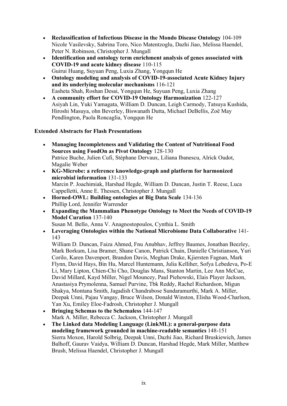- **Reclassification of Infectious Disease in the Mondo Disease Ontology** 104-109 Nicole Vasilevsky, Sabrina Toro, Nico Matentzoglu, Dazhi Jiao, Melissa Haendel, Peter N. Robinson, Christopher J. Mungall
- **Identification and ontology term enrichment analysis of genes associated with COVID-19 and acute kidney disease** 110-115 Guirui Huang, Suyuan Peng, Luxia Zhang, Yongqun He
- **Ontology modeling and analysis of COVID-19-associated Acute Kidney Injury and its underlying molecular mechanisms** 116-121 Easheta Shah, Roshan Desai, Yongqun He, Suyuan Peng, Luxia Zhang
- **A community effort for COVID-19 Ontology Harmonization** 122-127 Asiyah Lin, Yuki Yamagata, William D. Duncan, Leigh Carmody, Tatsuya Kushida, Hiroshi Masuya, ohn Beverley, Biswanath Dutta, Michael DeBellis, Zoë May Pendlington, Paola Roncaglia, Yongqun He

#### **Extended Abstracts for Flash Presentations**

- **Managing Incompleteness and Validating the Content of Nutritional Food Sources using FoodOn as Pivot Ontology** 128-130 Patrice Buche, Julien Cufi, Stéphane Dervaux, Liliana Ibanescu, Alrick Oudot, Magalie Weber
- **KG-Microbe: a reference knowledge-graph and platform for harmonized microbial information** 131-133 Marcin P. Joachimiak, Harshad Hegde, William D. Duncan, Justin T. Reese, Luca Cappelletti, Anne E. Thessen, Christopher J. Mungall
- **Horned-OWL: Building ontologies at Big Data Scale** 134-136 Phillip Lord, Jennifer Warrender
- **Expanding the Mammalian Phenotype Ontology to Meet the Needs of COVID-19 Model Curation** 137-140

Susan M. Bello, Anna V. Anagnostopoulos, Cynthia L. Smith

• **Leveraging Ontologies within the National Microbiome Data Collaborative** 141- 143

William D. Duncan, Faiza Ahmed, Fnu Anubhav, Jeffrey Baumes, Jonathan Beezley, Mark Borkum, Lisa Bramer, Shane Canon, Patrick Chain, Danielle Christianson, Yuri Corilo, Karen Davenport, Brandon Davis, Meghan Drake, Kjiersten Fagnan, Mark Flynn, David Hays, Bin Hu, Marcel Huntemann, Julia Kelliher, Sofya Lebedeva, Po-E Li, Mary Lipton, Chien-Chi Cho, Douglas Mans, Stanton Martin, Lee Ann McCue, David Millard, Kayd Miller, Nigel Mouncey, Paul Piehowski, Elais Player Jackson, Anastasiya Prymolenna, Samuel Purvine, Tbk Reddy, Rachel Richardson, Migun Shakya, Montana Smith, Jagadish Chandrabose Sundaramurthi, Mark A. Miller, Deepak Unni, Pajau Vangay, Bruce Wilson, Donald Winston, Elisha Wood-Charlson, Yan Xu, Emiley Eloe-Fadrosh, Christopher J. Mungall

- **Bringing Schemas to the Schemaless** 144-147 Mark A. Miller, Rebecca C. Jackson, Christopher J. Mungall
- **The Linked data Modeling Language (LinkML): a general-purpose data modeling framework grounded in machine-readable semantics** 148-151 Sierra Moxon, Harold Solbrig, Deepak Unni, Dazhi Jiao, Richard Bruskiewich, James Balhoff, Gaurav Vaidya, William D. Duncan, Harshad Hegde, Mark Miller, Matthew Brush, Melissa Haendel, Christopher J. Mungall